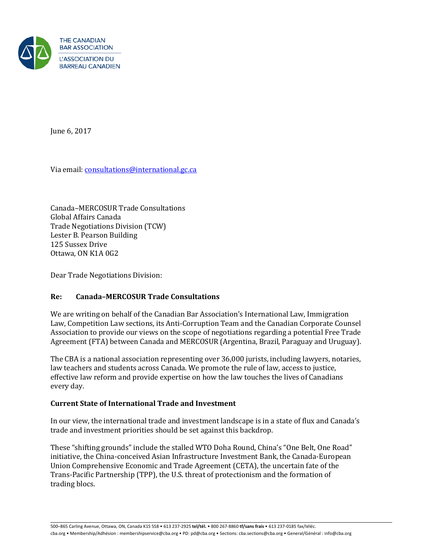

June 6, 2017

Via email[: consultations@international.gc.ca](mailto:consultations@international.gc.ca)

Canada–MERCOSUR Trade Consultations Global Affairs Canada Trade Negotiations Division (TCW) Lester B. Pearson Building 125 Sussex Drive Ottawa, ON K1A 0G2

Dear Trade Negotiations Division:

# **Re: Canada–MERCOSUR Trade Consultations**

We are writing on behalf of the Canadian Bar Association's International Law, Immigration Law, Competition Law sections, its Anti-Corruption Team and the Canadian Corporate Counsel Association to provide our views on the scope of negotiations regarding a potential Free Trade Agreement (FTA) between Canada and MERCOSUR (Argentina, Brazil, Paraguay and Uruguay).

The CBA is a national association representing over 36,000 jurists, including lawyers, notaries, law teachers and students across Canada. We promote the rule of law, access to justice, effective law reform and provide expertise on how the law touches the lives of Canadians every day.

# **Current State of International Trade and Investment**

In our view, the international trade and investment landscape is in a state of flux and Canada's trade and investment priorities should be set against this backdrop.

These "shifting grounds" include the stalled WTO Doha Round, China's "One Belt, One Road" initiative, the China-conceived Asian Infrastructure Investment Bank, the Canada-European Union Comprehensive Economic and Trade Agreement (CETA), the uncertain fate of the Trans-Pacific Partnership (TPP), the U.S. threat of protectionism and the formation of trading blocs.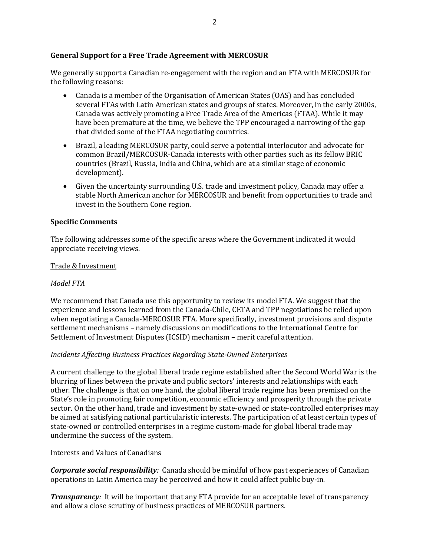## **General Support for a Free Trade Agreement with MERCOSUR**

We generally support a Canadian re-engagement with the region and an FTA with MERCOSUR for the following reasons:

- Canada is a member of the Organisation of American States (OAS) and has concluded several FTAs with Latin American states and groups of states. Moreover, in the early 2000s, Canada was actively promoting a Free Trade Area of the Americas (FTAA). While it may have been premature at the time, we believe the TPP encouraged a narrowing of the gap that divided some of the FTAA negotiating countries.
- Brazil, a leading MERCOSUR party, could serve a potential interlocutor and advocate for common Brazil/MERCOSUR-Canada interests with other parties such as its fellow BRIC countries (Brazil, Russia, India and China, which are at a similar stage of economic development).
- Given the uncertainty surrounding U.S. trade and investment policy, Canada may offer a stable North American anchor for MERCOSUR and benefit from opportunities to trade and invest in the Southern Cone region.

## **Specific Comments**

The following addresses some of the specific areas where the Government indicated it would appreciate receiving views.

#### Trade & Investment

#### *Model FTA*

We recommend that Canada use this opportunity to review its model FTA. We suggest that the experience and lessons learned from the Canada-Chile, CETA and TPP negotiations be relied upon when negotiating a Canada-MERCOSUR FTA. More specifically, investment provisions and dispute settlement mechanisms – namely discussions on modifications to the International Centre for Settlement of Investment Disputes (ICSID) mechanism – merit careful attention.

#### *Incidents Affecting Business Practices Regarding State-Owned Enterprises*

A current challenge to the global liberal trade regime established after the Second World War is the blurring of lines between the private and public sectors' interests and relationships with each other. The challenge is that on one hand, the global liberal trade regime has been premised on the State's role in promoting fair competition, economic efficiency and prosperity through the private sector. On the other hand, trade and investment by state-owned or state-controlled enterprises may be aimed at satisfying national particularistic interests. The participation of at least certain types of state-owned or controlled enterprises in a regime custom-made for global liberal trade may undermine the success of the system.

#### Interests and Values of Canadians

*Corporate social responsibility:* Canada should be mindful of how past experiences of Canadian operations in Latin America may be perceived and how it could affect public buy-in.

*Transparency:* It will be important that any FTA provide for an acceptable level of transparency and allow a close scrutiny of business practices of MERCOSUR partners.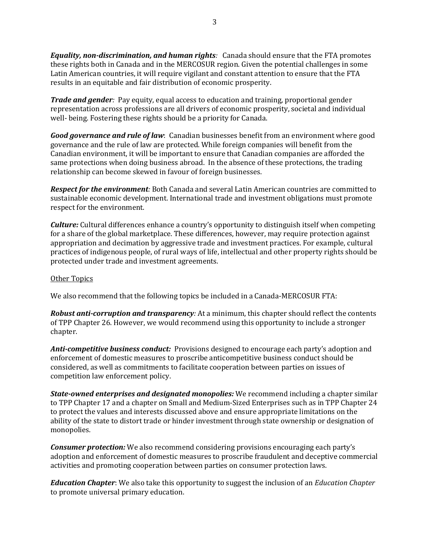*Equality, non-discrimination, and human rights:* Canada should ensure that the FTA promotes these rights both in Canada and in the MERCOSUR region. Given the potential challenges in some Latin American countries, it will require vigilant and constant attention to ensure that the FTA results in an equitable and fair distribution of economic prosperity.

*Trade and gender:* Pay equity, equal access to education and training, proportional gender representation across professions are all drivers of economic prosperity, societal and individual well- being. Fostering these rights should be a priority for Canada.

*Good governance and rule of law*: Canadian businesses benefit from an environment where good governance and the rule of law are protected. While foreign companies will benefit from the Canadian environment, it will be important to ensure that Canadian companies are afforded the same protections when doing business abroad. In the absence of these protections, the trading relationship can become skewed in favour of foreign businesses.

*Respect for the environment:* Both Canada and several Latin American countries are committed to sustainable economic development. International trade and investment obligations must promote respect for the environment.

*Culture:* Cultural differences enhance a country's opportunity to distinguish itself when competing for a share of the global marketplace. These differences, however, may require protection against appropriation and decimation by aggressive trade and investment practices. For example, cultural practices of indigenous people, of rural ways of life, intellectual and other property rights should be protected under trade and investment agreements.

#### Other Topics

We also recommend that the following topics be included in a Canada-MERCOSUR FTA:

*Robust anti-corruption and transparency:* At a minimum, this chapter should reflect the contents of TPP Chapter 26. However, we would recommend using this opportunity to include a stronger chapter.

*Anti-competitive business conduct:*Provisions designed to encourage each party's adoption and enforcement of domestic measures to proscribe anticompetitive business conduct should be considered, as well as commitments to facilitate cooperation between parties on issues of competition law enforcement policy.

*State-owned enterprises and designated monopolies:* We recommend including a chapter similar to TPP Chapter 17 and a chapter on Small and Medium-Sized Enterprises such as in TPP Chapter 24 to protect the values and interests discussed above and ensure appropriate limitations on the ability of the state to distort trade or hinder investment through state ownership or designation of monopolies.

*Consumer protection:* We also recommend considering provisions encouraging each party's adoption and enforcement of domestic measures to proscribe fraudulent and deceptive commercial activities and promoting cooperation between parties on consumer protection laws.

*Education Chapter*: We also take this opportunity to suggest the inclusion of an *Education Chapter* to promote universal primary education.